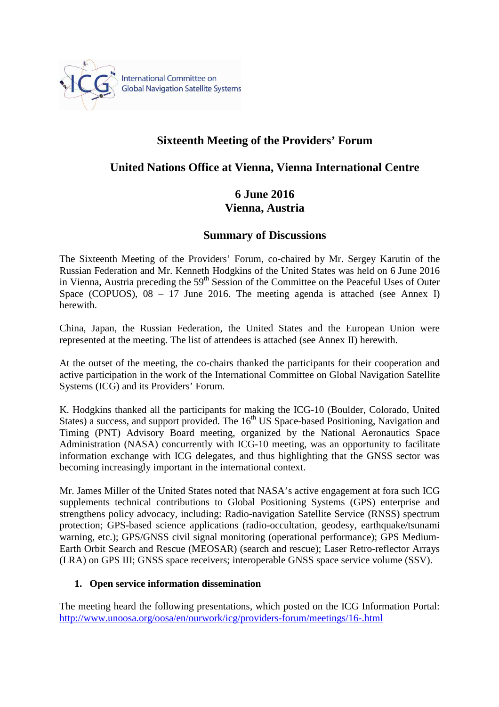

# **Sixteenth Meeting of the Providers' Forum**

## **United Nations Office at Vienna, Vienna International Centre**

# **6 June 2016 Vienna, Austria**

### **Summary of Discussions**

The Sixteenth Meeting of the Providers' Forum, co-chaired by Mr. Sergey Karutin of the Russian Federation and Mr. Kenneth Hodgkins of the United States was held on 6 June 2016 in Vienna, Austria preceding the 59<sup>th</sup> Session of the Committee on the Peaceful Uses of Outer Space (COPUOS),  $08 - 17$  June 2016. The meeting agenda is attached (see Annex I) herewith.

China, Japan, the Russian Federation, the United States and the European Union were represented at the meeting. The list of attendees is attached (see Annex II) herewith.

At the outset of the meeting, the co-chairs thanked the participants for their cooperation and active participation in the work of the International Committee on Global Navigation Satellite Systems (ICG) and its Providers' Forum.

K. Hodgkins thanked all the participants for making the ICG-10 (Boulder, Colorado, United States) a success, and support provided. The  $16<sup>th</sup> US Space-based Positioning$ . Navigation and Timing (PNT) Advisory Board meeting, organized by the National Aeronautics Space Administration (NASA) concurrently with ICG-10 meeting, was an opportunity to facilitate information exchange with ICG delegates, and thus highlighting that the GNSS sector was becoming increasingly important in the international context.

Mr. James Miller of the United States noted that NASA's active engagement at fora such ICG supplements technical contributions to Global Positioning Systems (GPS) enterprise and strengthens policy advocacy, including: Radio-navigation Satellite Service (RNSS) spectrum protection; GPS-based science applications (radio-occultation, geodesy, earthquake/tsunami warning, etc.); GPS/GNSS civil signal monitoring (operational performance); GPS Medium-Earth Orbit Search and Rescue (MEOSAR) (search and rescue); Laser Retro-reflector Arrays (LRA) on GPS III; GNSS space receivers; interoperable GNSS space service volume (SSV).

#### **1. Open service information dissemination**

The meeting heard the following presentations, which posted on the ICG Information Portal: http://www.unoosa.org/oosa/en/ourwork/icg/providers-forum/meetings/16-.html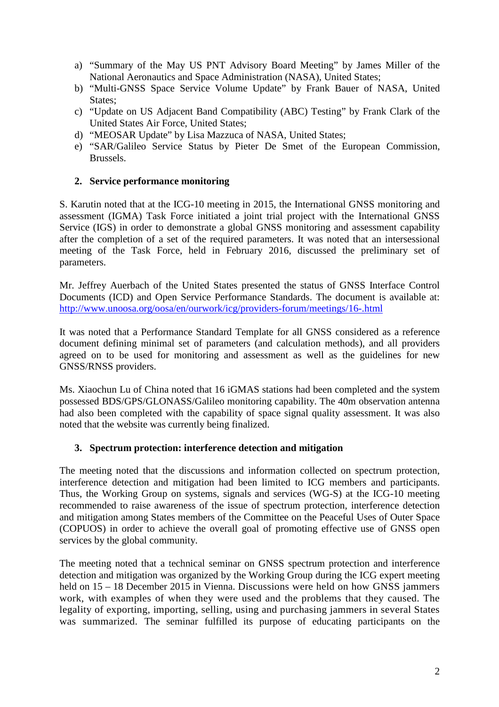- a) "Summary of the May US PNT Advisory Board Meeting" by James Miller of the National Aeronautics and Space Administration (NASA), United States;
- b) "Multi-GNSS Space Service Volume Update" by Frank Bauer of NASA, United States:
- c) "Update on US Adjacent Band Compatibility (ABC) Testing" by Frank Clark of the United States Air Force, United States;
- d) "MEOSAR Update" by Lisa Mazzuca of NASA, United States;
- e) "SAR/Galileo Service Status by Pieter De Smet of the European Commission, Brussels.

### **2. Service performance monitoring**

S. Karutin noted that at the ICG-10 meeting in 2015, the International GNSS monitoring and assessment (IGMA) Task Force initiated a joint trial project with the International GNSS Service (IGS) in order to demonstrate a global GNSS monitoring and assessment capability after the completion of a set of the required parameters. It was noted that an intersessional meeting of the Task Force, held in February 2016, discussed the preliminary set of parameters.

Mr. Jeffrey Auerbach of the United States presented the status of GNSS Interface Control Documents (ICD) and Open Service Performance Standards. The document is available at: http://www.unoosa.org/oosa/en/ourwork/icg/providers-forum/meetings/16-.html

It was noted that a Performance Standard Template for all GNSS considered as a reference document defining minimal set of parameters (and calculation methods), and all providers agreed on to be used for monitoring and assessment as well as the guidelines for new GNSS/RNSS providers.

Ms. Xiaochun Lu of China noted that 16 iGMAS stations had been completed and the system possessed BDS/GPS/GLONASS/Galileo monitoring capability. The 40m observation antenna had also been completed with the capability of space signal quality assessment. It was also noted that the website was currently being finalized.

#### **3. Spectrum protection: interference detection and mitigation**

The meeting noted that the discussions and information collected on spectrum protection, interference detection and mitigation had been limited to ICG members and participants. Thus, the Working Group on systems, signals and services (WG-S) at the ICG-10 meeting recommended to raise awareness of the issue of spectrum protection, interference detection and mitigation among States members of the Committee on the Peaceful Uses of Outer Space (COPUOS) in order to achieve the overall goal of promoting effective use of GNSS open services by the global community.

The meeting noted that a technical seminar on GNSS spectrum protection and interference detection and mitigation was organized by the Working Group during the ICG expert meeting held on 15 – 18 December 2015 in Vienna. Discussions were held on how GNSS jammers work, with examples of when they were used and the problems that they caused. The legality of exporting, importing, selling, using and purchasing jammers in several States was summarized. The seminar fulfilled its purpose of educating participants on the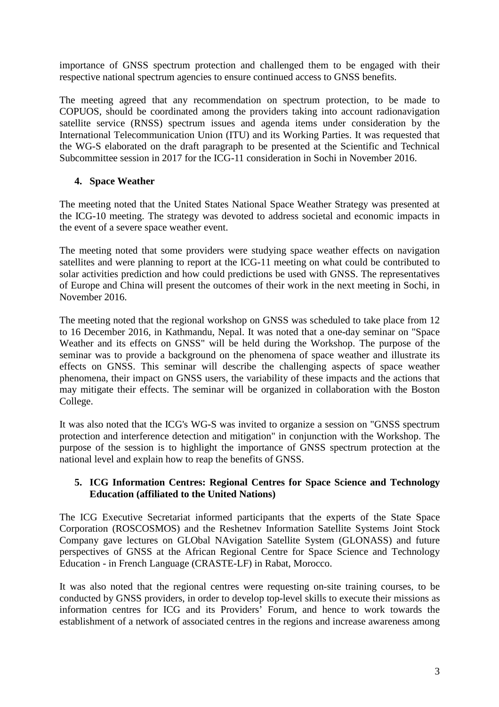importance of GNSS spectrum protection and challenged them to be engaged with their respective national spectrum agencies to ensure continued access to GNSS benefits.

The meeting agreed that any recommendation on spectrum protection, to be made to COPUOS, should be coordinated among the providers taking into account radionavigation satellite service (RNSS) spectrum issues and agenda items under consideration by the International Telecommunication Union (ITU) and its Working Parties. It was requested that the WG-S elaborated on the draft paragraph to be presented at the Scientific and Technical Subcommittee session in 2017 for the ICG-11 consideration in Sochi in November 2016.

#### **4. Space Weather**

The meeting noted that the United States National Space Weather Strategy was presented at the ICG-10 meeting. The strategy was devoted to address societal and economic impacts in the event of a severe space weather event.

The meeting noted that some providers were studying space weather effects on navigation satellites and were planning to report at the ICG-11 meeting on what could be contributed to solar activities prediction and how could predictions be used with GNSS. The representatives of Europe and China will present the outcomes of their work in the next meeting in Sochi, in November 2016.

The meeting noted that the regional workshop on GNSS was scheduled to take place from 12 to 16 December 2016, in Kathmandu, Nepal. It was noted that a one-day seminar on "Space Weather and its effects on GNSS" will be held during the Workshop. The purpose of the seminar was to provide a background on the phenomena of space weather and illustrate its effects on GNSS. This seminar will describe the challenging aspects of space weather phenomena, their impact on GNSS users, the variability of these impacts and the actions that may mitigate their effects. The seminar will be organized in collaboration with the Boston College.

It was also noted that the ICG's WG-S was invited to organize a session on "GNSS spectrum protection and interference detection and mitigation" in conjunction with the Workshop. The purpose of the session is to highlight the importance of GNSS spectrum protection at the national level and explain how to reap the benefits of GNSS.

#### **5. ICG Information Centres: Regional Centres for Space Science and Technology Education (affiliated to the United Nations)**

The ICG Executive Secretariat informed participants that the experts of the State Space Corporation (ROSCOSMOS) and the Reshetnev Information Satellite Systems Joint Stock Company gave lectures on GLObal NAvigation Satellite System (GLONASS) and future perspectives of GNSS at the African Regional Centre for Space Science and Technology Education - in French Language (CRASTE-LF) in Rabat, Morocco.

It was also noted that the regional centres were requesting on-site training courses, to be conducted by GNSS providers, in order to develop top-level skills to execute their missions as information centres for ICG and its Providers' Forum, and hence to work towards the establishment of a network of associated centres in the regions and increase awareness among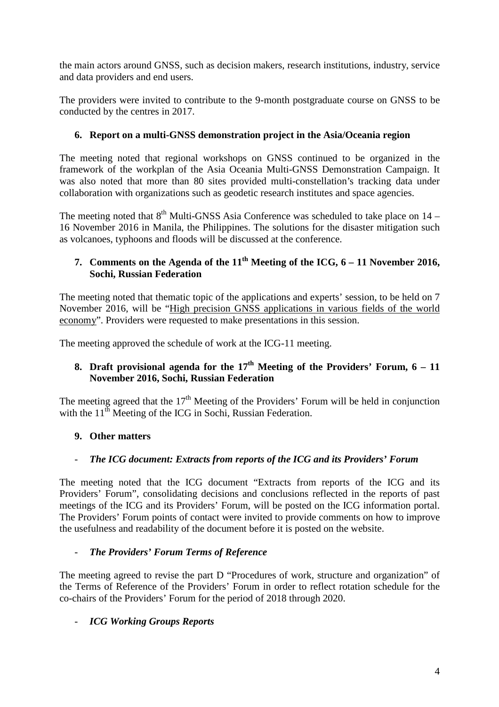the main actors around GNSS, such as decision makers, research institutions, industry, service and data providers and end users.

The providers were invited to contribute to the 9-month postgraduate course on GNSS to be conducted by the centres in 2017.

### **6. Report on a multi-GNSS demonstration project in the Asia/Oceania region**

The meeting noted that regional workshops on GNSS continued to be organized in the framework of the workplan of the Asia Oceania Multi-GNSS Demonstration Campaign. It was also noted that more than 80 sites provided multi-constellation's tracking data under collaboration with organizations such as geodetic research institutes and space agencies.

The meeting noted that  $8<sup>th</sup>$  Multi-GNSS Asia Conference was scheduled to take place on 14 – 16 November 2016 in Manila, the Philippines. The solutions for the disaster mitigation such as volcanoes, typhoons and floods will be discussed at the conference.

## **7. Comments on the Agenda of the 11th Meeting of the ICG, 6 – 11 November 2016, Sochi, Russian Federation**

The meeting noted that thematic topic of the applications and experts' session, to be held on 7 November 2016, will be "High precision GNSS applications in various fields of the world economy". Providers were requested to make presentations in this session.

The meeting approved the schedule of work at the ICG-11 meeting.

## **8. Draft provisional agenda for the 17th Meeting of the Providers' Forum, 6 – 11 November 2016, Sochi, Russian Federation**

The meeting agreed that the  $17<sup>th</sup>$  Meeting of the Providers' Forum will be held in conjunction with the  $11<sup>th</sup>$  Meeting of the ICG in Sochi, Russian Federation.

## **9. Other matters**

## - *The ICG document: Extracts from reports of the ICG and its Providers' Forum*

The meeting noted that the ICG document "Extracts from reports of the ICG and its Providers' Forum", consolidating decisions and conclusions reflected in the reports of past meetings of the ICG and its Providers' Forum, will be posted on the ICG information portal. The Providers' Forum points of contact were invited to provide comments on how to improve the usefulness and readability of the document before it is posted on the website.

#### - *The Providers' Forum Terms of Reference*

The meeting agreed to revise the part D "Procedures of work, structure and organization" of the Terms of Reference of the Providers' Forum in order to reflect rotation schedule for the co-chairs of the Providers' Forum for the period of 2018 through 2020.

## - *ICG Working Groups Reports*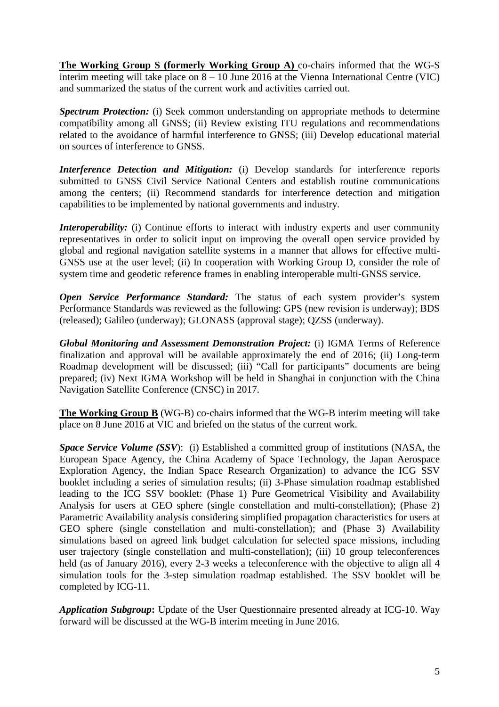**The Working Group S (formerly Working Group A)** co-chairs informed that the WG-S interim meeting will take place on 8 – 10 June 2016 at the Vienna International Centre (VIC) and summarized the status of the current work and activities carried out.

*Spectrum Protection:* (i) Seek common understanding on appropriate methods to determine compatibility among all GNSS; (ii) Review existing ITU regulations and recommendations related to the avoidance of harmful interference to GNSS; (iii) Develop educational material on sources of interference to GNSS.

*Interference Detection and Mitigation:* (i) Develop standards for interference reports submitted to GNSS Civil Service National Centers and establish routine communications among the centers; (ii) Recommend standards for interference detection and mitigation capabilities to be implemented by national governments and industry.

*Interoperability:* (i) Continue efforts to interact with industry experts and user community representatives in order to solicit input on improving the overall open service provided by global and regional navigation satellite systems in a manner that allows for effective multi-GNSS use at the user level; (ii) In cooperation with Working Group D, consider the role of system time and geodetic reference frames in enabling interoperable multi-GNSS service.

*Open Service Performance Standard:* The status of each system provider's system Performance Standards was reviewed as the following: GPS (new revision is underway); BDS (released); Galileo (underway); GLONASS (approval stage); QZSS (underway).

*Global Monitoring and Assessment Demonstration Project:* (i) IGMA Terms of Reference finalization and approval will be available approximately the end of 2016; (ii) Long-term Roadmap development will be discussed; (iii) "Call for participants" documents are being prepared; (iv) Next IGMA Workshop will be held in Shanghai in conjunction with the China Navigation Satellite Conference (CNSC) in 2017.

**The Working Group B** (WG-B) co-chairs informed that the WG-B interim meeting will take place on 8 June 2016 at VIC and briefed on the status of the current work.

*Space Service Volume (SSV)*: (i) Established a committed group of institutions (NASA, the European Space Agency, the China Academy of Space Technology, the Japan Aerospace Exploration Agency, the Indian Space Research Organization) to advance the ICG SSV booklet including a series of simulation results; (ii) 3-Phase simulation roadmap established leading to the ICG SSV booklet: (Phase 1) Pure Geometrical Visibility and Availability Analysis for users at GEO sphere (single constellation and multi-constellation); (Phase 2) Parametric Availability analysis considering simplified propagation characteristics for users at GEO sphere (single constellation and multi-constellation); and (Phase 3) Availability simulations based on agreed link budget calculation for selected space missions, including user trajectory (single constellation and multi-constellation); (iii) 10 group teleconferences held (as of January 2016), every 2-3 weeks a teleconference with the objective to align all 4 simulation tools for the 3-step simulation roadmap established. The SSV booklet will be completed by ICG-11.

*Application Subgroup***:** Update of the User Questionnaire presented already at ICG-10. Way forward will be discussed at the WG-B interim meeting in June 2016.